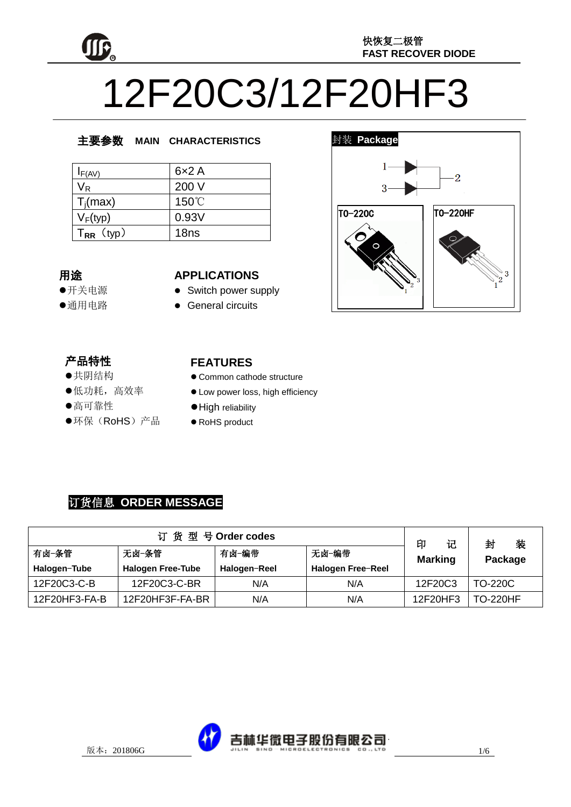

# 12F20C3/12F20HF3

## 主要参数 **MAIN CHARACTERISTICS**

| $I_{F(AV)}$             | 6x2A             |
|-------------------------|------------------|
| $\mathsf{V}_\mathsf{R}$ | 200 V            |
| $T_i(max)$              | 150°C            |
| $V_F(typ)$              | 0.93V            |
| $T_{RR}$ (typ)          | 18 <sub>ns</sub> |

## 用途

- 开关电源
- 通用电路

#### **APPLICATIONS**

- Switch power supply
- General circuits

## 产品特性

- , H-IVI土<br>●共阴结构
- <del>八历五日</del><br>●低功耗,高效率
- KG-3545/<br>●高可靠性
- '<br>., i, ●环保(RoHS)产品

## **FEATURES**

- Common cathode structure
- $\bullet$  Low power loss, high efficiency
- $\bullet$  High reliability
- RoHS product

## 订货信息 **ORDER MESSAGE**

| 订货型号Order codes |                          |              |                   | 记<br>印         | 装<br>封          |
|-----------------|--------------------------|--------------|-------------------|----------------|-----------------|
| 有卤-条管           | 无卤-条管                    | 有卤−编带        | 无卤-编带             | <b>Marking</b> | Package         |
| Halogen-Tube    | <b>Halogen Free-Tube</b> | Halogen-Reel | Halogen Free-Reel |                |                 |
| 12F20C3-C-B     | 12F20C3-C-BR             | N/A          | N/A               | 12F20C3        | TO-220C         |
| 12F20HF3-FA-B   | 12F20HF3F-FA-BR          | N/A          | N/A               | 12F20HF3       | <b>TO-220HF</b> |



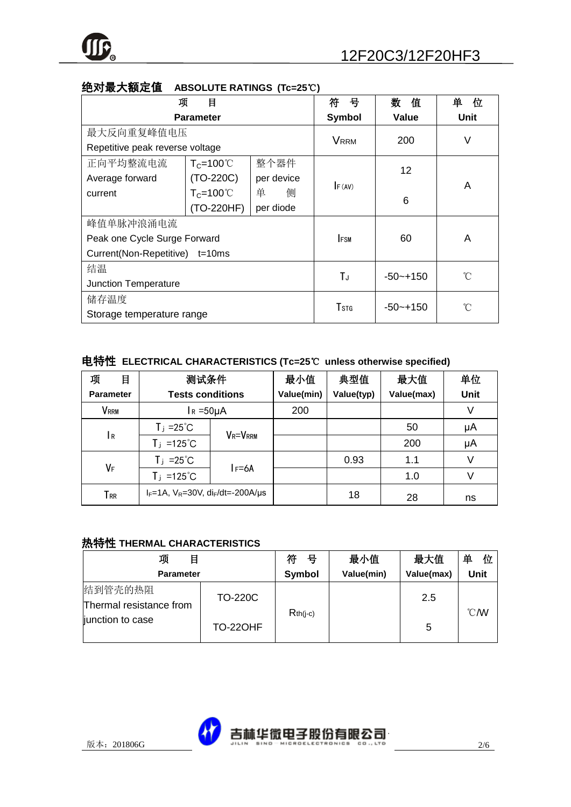

| 项                               | 目                   |             | 符<br>뮥       | 数<br>值       | 单<br>位 |
|---------------------------------|---------------------|-------------|--------------|--------------|--------|
| <b>Parameter</b>                |                     |             | Symbol       | Value        | Unit   |
| 最大反向重复峰值电压                      |                     | <b>VRRM</b> | 200          | ٧            |        |
| Repetitive peak reverse voltage |                     |             |              |              |        |
| 正向平均整流电流                        | $T_c = 100^{\circ}$ | 整个器件        |              | 12           |        |
| Average forward                 | $(TO-220C)$         | per device  |              |              | A      |
| current                         | $T_c = 100^{\circ}$ | 单<br>侧      | F (AV)       | 6            |        |
|                                 | (TO-220HF)          | per diode   |              |              |        |
| 峰值单脉冲浪涌电流                       |                     |             |              |              |        |
| Peak one Cycle Surge Forward    |                     | <b>IFSM</b> | 60           | A            |        |
| Current(Non-Repetitive) t=10ms  |                     |             |              |              |        |
| 结温                              |                     | TJ          | $-50 - +150$ | °C           |        |
| <b>Junction Temperature</b>     |                     |             |              |              |        |
| 储存温度                            |                     |             |              | °C           |        |
| Storage temperature range       |                     |             | Tstg         | $-50 - +150$ |        |

## 绝对最大额定值 **ABSOLUTE RATINGS (Tc=25**℃**)**

## 电特性 **ELECTRICAL CHARACTERISTICS (Tc=25**℃ **unless otherwise specified)**

| 项<br>目             | 测试条件                                               |                | 最小值        | 典型值        | 最大值        | 单位   |
|--------------------|----------------------------------------------------|----------------|------------|------------|------------|------|
| <b>Parameter</b>   | <b>Tests conditions</b>                            |                | Value(min) | Value(typ) | Value(max) | Unit |
| <b>VRRM</b>        | $I_R = 50 \mu A$                                   |                | 200        |            |            | ٧    |
|                    | $T_j = 25^{\circ}C$                                | <b>VR=VRRM</b> |            |            | 50         | μA   |
| 1 R                | $T_j = 125^{\circ}C$                               |                |            |            | 200        | μA   |
| VF                 | $T_j = 25^{\circ}C$                                |                |            | 0.93       | 1.1        | V    |
|                    | $T_j = 125^{\circ}C$                               | $I = 6A$       |            |            | 1.0        |      |
| ${\sf T}_{\sf RR}$ | $I_F = 1A$ , $V_R = 30V$ , $di_F/dt = -200A/\mu s$ |                |            | 18         | 28         | ns   |

## 热特性 **THERMAL CHARACTERISTICS**

| 项<br>目                             |                 | 符<br>븅     | 最小值        | 最大值        | 单<br>位         |
|------------------------------------|-----------------|------------|------------|------------|----------------|
| <b>Parameter</b>                   |                 | Symbol     | Value(min) | Value(max) | Unit           |
| 结到管壳的热阻<br>Thermal resistance from | <b>TO-220C</b>  | $Rth(i-c)$ |            | 2.5        | $^{\circ}$ CMV |
| junction to case                   | <b>TO-220HF</b> |            |            | 5          |                |

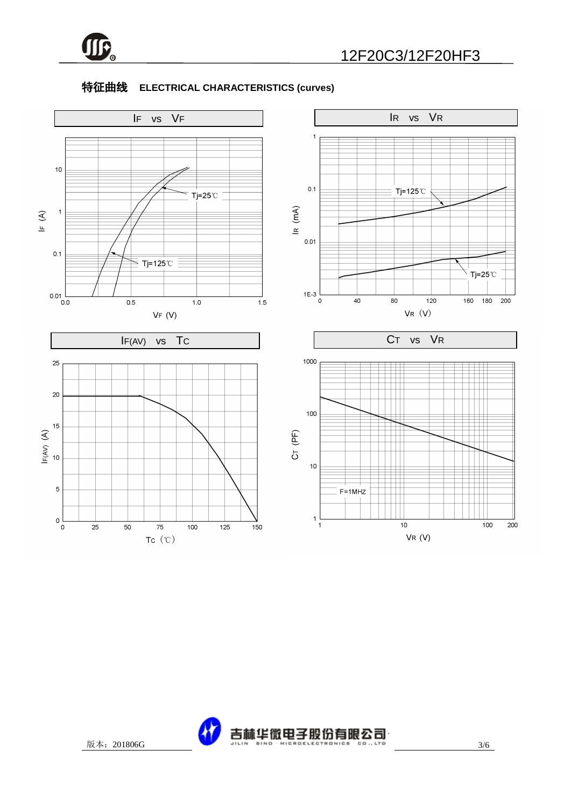

## 特征曲线 **ELECTRICAL CHARACTERISTICS (curves)**



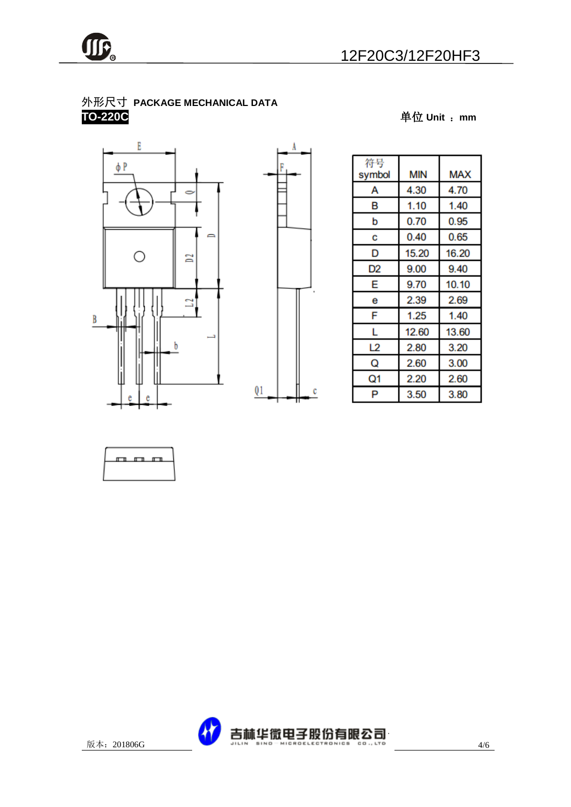## 外形尺寸 **PACKAGE MECHANICAL DATA TO-220C** 单位 **Unit** :**mm**





| 符号<br>symbol | MIN   | MAX   |
|--------------|-------|-------|
| А            | 4.30  | 4.70  |
| в            | 1.10  | 1.40  |
| b            | 0.70  | 0.95  |
| С            | 0.40  | 0.65  |
| D            | 15.20 | 16.20 |
| D2           | 9.00  | 9.40  |
| E            | 9.70  | 10.10 |
| е            | 2.39  | 2.69  |
| F            | 1.25  | 1.40  |
| L            | 12.60 | 13.60 |
| L2           | 2.80  | 3.20  |
| Q            | 2.60  | 3.00  |
| Q1           | 2.20  | 2.60  |
| P            | 3.50  | 3.80  |



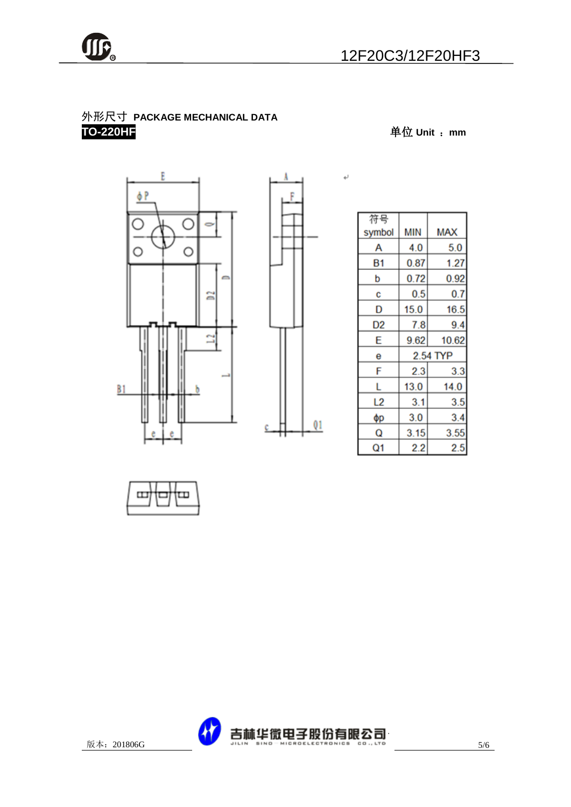

## 外形尺寸 **PACKAGE MECHANICAL DATA TO-220HF** 单位 **Unit** :**mm**





 $\leftarrow$ 

| 符号     |          |            |  |
|--------|----------|------------|--|
| symbol | MIN      | <b>MAX</b> |  |
| А      | 4.0      | 5.0        |  |
| Β1     | 0.87     | 1.27       |  |
| b      | 0.72     | 0.92       |  |
| c      | 0.5      | 0.7        |  |
| D      | 15.0     | 16.5       |  |
| D2     | 7.8      | 9.4        |  |
| E      | 9.62     | 10.62      |  |
| е      | 2.54 TYP |            |  |
| F      | 2.3      | 3.3        |  |
| L      | 13.0     | 14.0       |  |
| L2     | 3.1      | 3.5        |  |
| φр     | 3.0      | 3.4        |  |
| Q      | 3.15     | 3.55       |  |
| Q1     | 2.2      | $2.5\,$    |  |